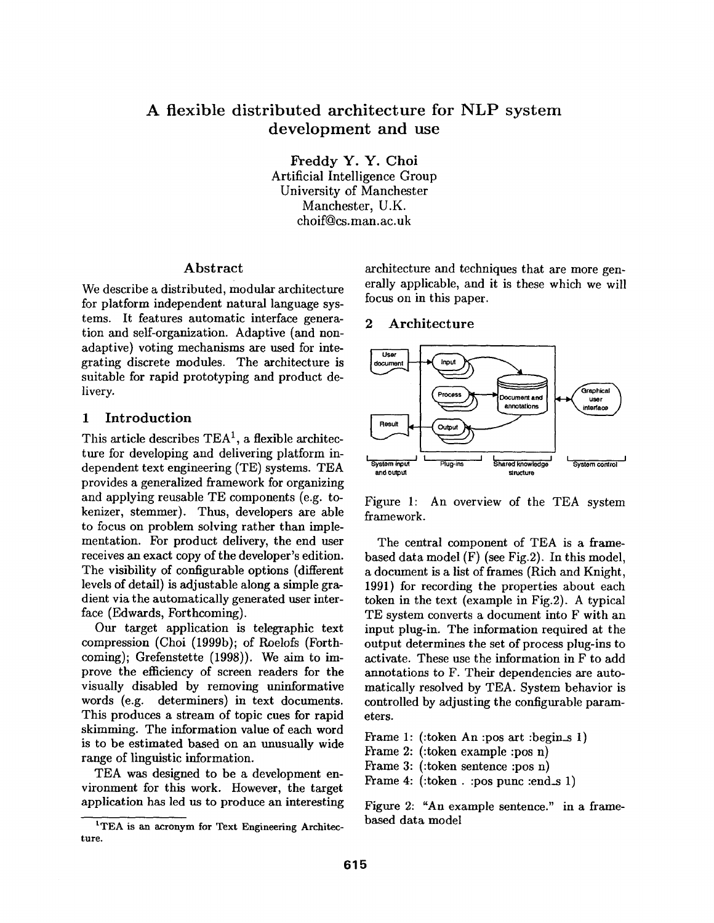# A flexible distributed architecture for NLP system development and use

Freddy Y. Y. Choi Artificial Intelligence Group University of Manchester Manchester, U.K. choif@cs.man.ac.uk

## Abstract

We describe a distributed, modular architecture for platform independent natural language systems. It features automatic interface generation and self-organization. Adaptive (and nonadaptive) voting mechanisms are used for integrating discrete modules. The architecture is suitable for rapid prototyping and product delivery.

#### 1 Introduction

This article describes  $TEA<sup>1</sup>$ , a flexible architecture for developing and delivering platform independent text engineering (TE) systems. TEA provides a generalized framework for organizing and applying reusable TE components (e.g. tokenizer, stemmer). Thus, developers are able to focus on problem solving rather than implementation. For product delivery, the end user receives an exact copy of the developer's edition. The visibility of configurable options (different levels of detail) is adjustable along a simple gradient via the automatically generated user interface (Edwards, Forthcoming).

Our target application is telegraphic text compression (Choi (1999b); of Roelofs (Forthcoming); Grefenstette (1998)). We aim to improve the efficiency of screen readers for the visually disabled by removing uninformative words (e.g. determiners) in text documents. This produces a stream of topic cues for rapid skimming. The information value of each word is to be estimated based on an unusually wide range of linguistic information.

TEA was designed to be a development environment for this work. However, the target application has led us to produce an interesting architecture and techniques that are more generally applicable, and it is these which we will focus on in this paper.

#### 2 Architecture



Figure 1: An overview of the TEA system framework.

The central component of TEA is a framebased data model (F) (see Fig.2). In this model, a document is a list of frames (Rich and Knight, 1991) for recording the properties about each token in the text (example in Fig.2). A typical TE system converts a document into F with an input plug-in. The information required at the output determines the set of process plug-ins to activate. These use the information in F to add annotations to F. Their dependencies are automatically resolved by TEA. System behavior is controlled by adjusting the configurable parameters.

Frame 1: (:token An :pos art :begin\_s 1)

Frame 2: (:token example :pos n)

Frame 3: (:token sentence :pos n)

Frame 4: (:token . :pos punc :end\_s 1)

Figure 2: "An example sentence." in a framebased data model

<sup>&</sup>lt;sup>1</sup>TEA is an acronym for Text Engineering Architecture.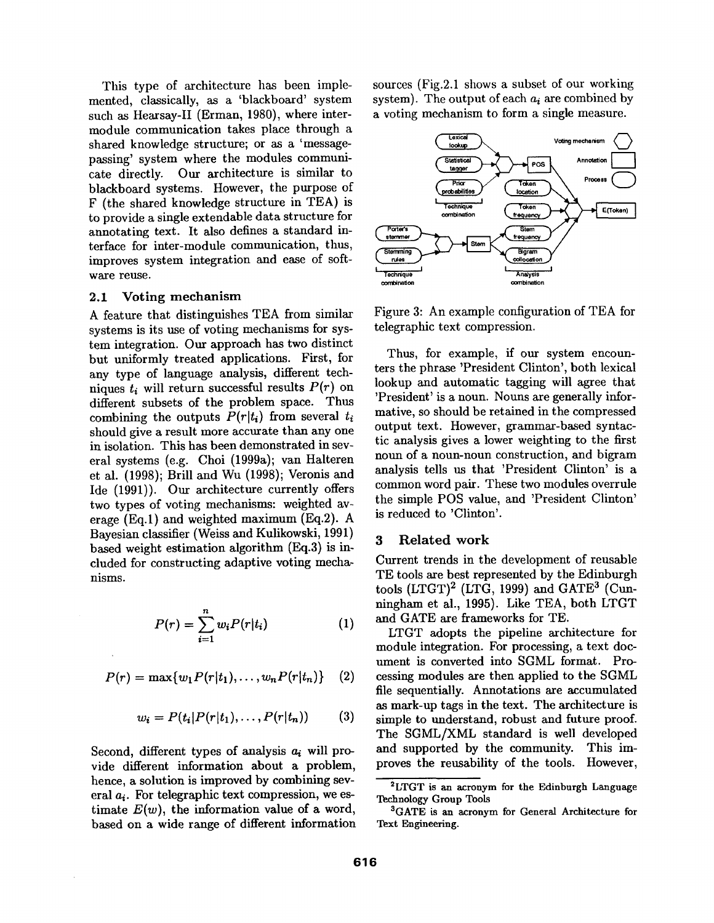This type of architecture has been implemented, classically, as a 'blackboard' system such as Hearsay-II (Erman, 1980), where intermodule communication takes place through a shared knowledge structure; or as a 'messagepassing' system where the modules communicate directly. Our architecture is similar to blackboard systems. However, the purpose of F (the shared knowledge structure in TEA) is to provide a single extendable data structure for annotating text. It also defines a standard interface for inter-module communication, thus, improves system integration and ease of software reuse.

#### 2.1 Voting mechanism

A feature that distinguishes TEA from similar systems is its use of voting mechanisms for system integration. Our approach has two distinct but uniformly treated applications. First, for any type of language analysis, different techniques  $t_i$  will return successful results  $P(r)$  on different subsets of the problem space. Thus combining the outputs  $P(r|t_i)$  from several  $t_i$ should give a result more accurate than any one in isolation. This has been demonstrated in several systems (e.g. Choi (1999a); van Halteren et al. (1998); Brill and Wu (1998); Veronis and Ide (1991)). Our architecture currently offers two types of voting mechanisms: weighted average (Eq.1) and weighted maximum (Eq.2). A Bayesian classifier (Weiss and Kulikowski, 1991) based weight estimation algorithm (Eq.3) is included for constructing adaptive voting mechanisms.

$$
P(r) = \sum_{i=1}^{n} w_i P(r|t_i)
$$
 (1)

$$
P(r) = \max\{w_1 P(r|t_1), \ldots, w_n P(r|t_n)\} \quad (2)
$$

$$
w_i = P(t_i|P(r|t_1),\ldots,P(r|t_n)) \qquad (3)
$$

Second, different types of analysis  $a_i$  will provide different information about a problem, hence, a solution is improved by combining several  $a_i$ . For telegraphic text compression, we estimate  $E(w)$ , the information value of a word, based on a wide range of different information sources (Fig.2.1 shows a subset of our working system). The output of each *ai are* combined by a voting mechanism to form a single measure.



Figure 3: An example configuration of TEA for telegraphic text compression.

Thus, for example, if our system encounters the phrase 'President Clinton', both lexical lookup and automatic tagging will agree that 'President' is a noun. Nouns are generally informative, so should be retained in the compressed output text. However, grammar-based syntactic analysis gives a lower weighting to the first noun of a noun-noun construction, and bigram analysis tells us that 'President Clinton' is a common word pair. These two modules overrule the simple POS value, and 'President Clinton' is reduced to 'Clinton'.

## 3 Related work

Current trends in the development of reusable TE tools are best represented by the Edinburgh tools  $(LTGT)^2$  (LTG, 1999) and  $GATE^3$  (Cunningham et al., 1995). Like TEA, both LTGT and GATE are frameworks for TE.

LTGT adopts the pipeline architecture for module integration. For processing, a text document is converted into SGML format. Processing modules are then applied to the SGML file sequentially. Annotations are accumulated as mark-up tags in the text. The architecture is simple to understand, robust and future proof. The SGML/XML standard is well developed and supported by the community. This improves the reusability of the tools. However,

<sup>2</sup>LTGT is an acronym for the Edinburgh Language **Technology Group** Tools

<sup>&</sup>lt;sup>3</sup>GATE is an acronym for General Architecture for Text Engineering.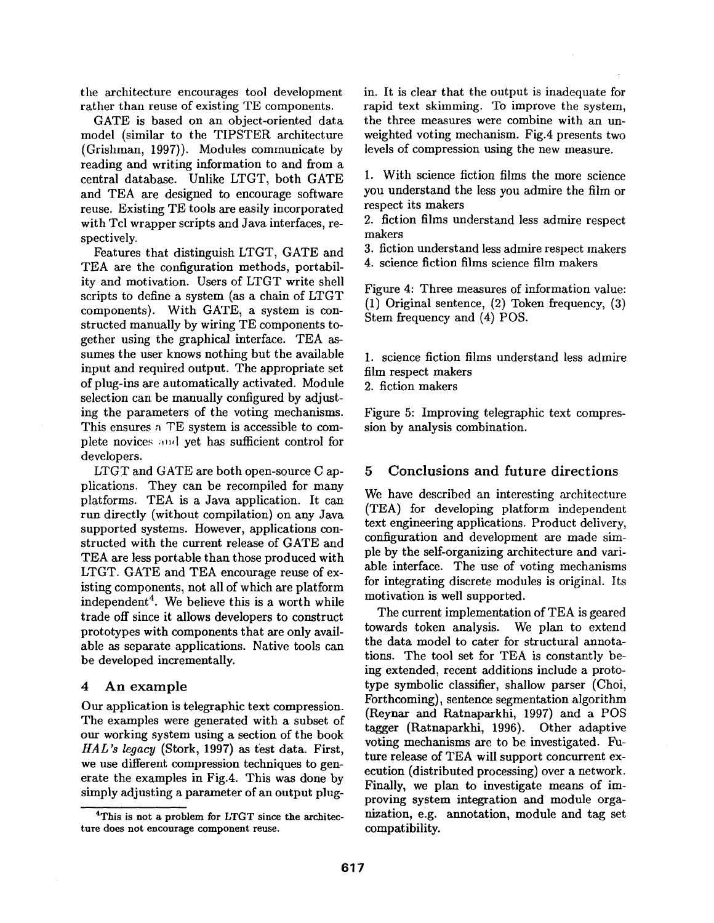the architecture encourages tool development rather than reuse of existing TE components.

GATE is based on an object-oriented data model (similar to the TIPSTER architecture (Grishman, 1997)). Modules communicate by reading and writing information to and from a central database. Unlike LTGT, both GATE and TEA are designed to encourage software reuse. Existing TE tools are easily incorporated with Tcl wrapper scripts and Java interfaces, respectively.

Features that distinguish LTCT, GATE and TEA are the configuration methods, portability and motivation. Users of LTGT write shell scripts to define a system (as a chain of LTGT components). With GATE, a system is constructed manually by wiring TE components together using the graphical interface. TEA assumes the user knows nothing but the available input and required output. The appropriate set of plug-ins are automatically activated. Module selection can be manually configured by adjusting the parameters of the voting mechanisms. This ensures a TE system is accessible to complete novices and yet has sufficient control for developers.

LTGT and GATE are both open-source C applications. They can be recompiled for many platforms. TEA is a Java application. It can run directly (without compilation) on any Java supported systems. However, applications constructed with the current release of GATE and TEA are less portable than those produced with LTGT. GATE and TEA encourage reuse of existing components, not all of which are platform independent<sup>4</sup>. We believe this is a worth while trade off since it allows developers to construct prototypes with components that are only available as separate applications. Native tools can be developed incrementally.

## 4 An example

Our application is telegraphic text compression. The examples were generated with a subset of our working system using a section of the book *HAL's legacy* (Stork, 1997) as test data. First, we use different compression techniques to generate the examples in Fig.4. This was done by simply adjusting a parameter of an output plug-

4This **is not** a problem for LTGT since the architecture does not encourage component reuse.

in. It is clear that the output is inadequate for rapid text skimming. To improve the system, the three measures were combine with an unweighted voting mechanism. Fig.4 presents two levels of compression using the new measure.

1. With science fiction films the more science you understand the less you admire the film or respect its makers

2. fiction films understand less admire respect makers

3. fiction understand less admire respect makers

4. science fiction films science film makers

Figure 4: Three measures of information value: (1) Original sentence, (2) Token frequency, (3) Stem frequency and (4) POS.

1. science fiction films understand less admire film respect makers

2. fiction makers

Figure 5: Improving telegraphic text compression by analysis combination.

## 5 Conclusions and future directions

We have described an interesting architecture (TEA) for developing platform independent text engineering applications. Product delivery, configuration and development are made simple by the self-organizing architecture and variable interface. The use of voting mechanisms for integrating discrete modules is original. Its motivation is well supported.

The current implementation of TEA is geared towards token analysis. We plan to extend the data model to cater for structural annotations. The tool set for TEA is constantly being extended, recent additions include a prototype symbolic classifier, shallow parser (Choi, Forthcoming), sentence segmentation algorithm (Reynar and Ratnaparkhi, 1997) and a POS tagger (Ratnaparkhi, 1996). Other adaptive voting mechanisms are to be investigated. Future release of TEA will support concurrent execution (distributed processing) over a network. Finally, we plan to investigate means of improving system integration and module organization, e.g. annotation, module and tag set compatibility.